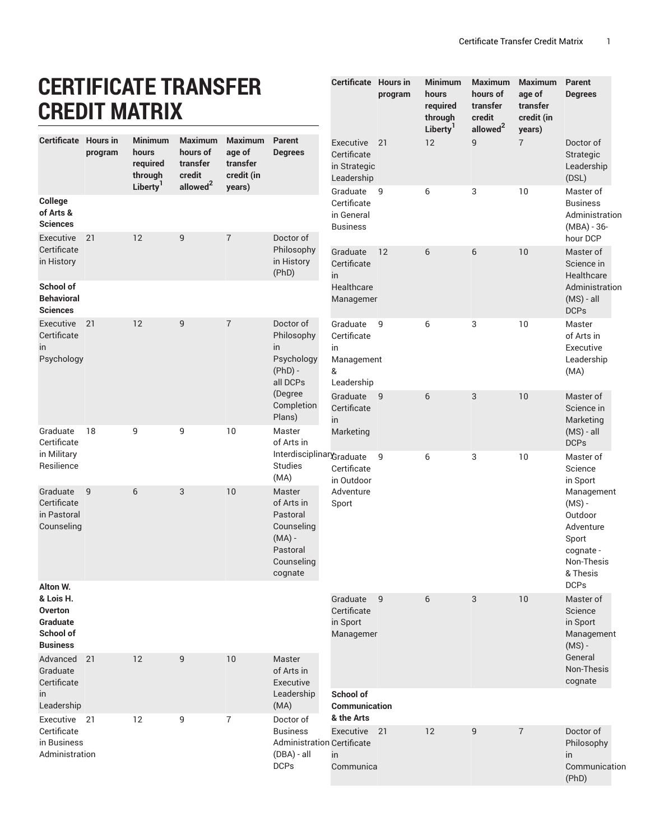**Maximum Maximum Parent**

**age of**

**Degrees**

**hours of**

## **CERTIFICATE TRANSFER CREDIT MATRIX**

|                                                                                     |         | <b>CREDIT MATRIX</b>                           |                                                  |                                                    |                                                                                                 |                                                                |                 | required<br>through        | transfer<br>credit<br>allowed <sup>2</sup> | transfer<br>credit (in   |                                                                                                |
|-------------------------------------------------------------------------------------|---------|------------------------------------------------|--------------------------------------------------|----------------------------------------------------|-------------------------------------------------------------------------------------------------|----------------------------------------------------------------|-----------------|----------------------------|--------------------------------------------|--------------------------|------------------------------------------------------------------------------------------------|
| <b>Certificate Hours in</b>                                                         | program | <b>Minimum</b><br>hours<br>required<br>through | <b>Maximum</b><br>hours of<br>transfer<br>credit | <b>Maximum</b><br>age of<br>transfer<br>credit (in | <b>Parent</b><br><b>Degrees</b>                                                                 | Executive<br>Certificate<br>in Strategic<br>Leadership         | $\overline{21}$ | Liberty <sup>1</sup><br>12 | 9                                          | years)<br>$\overline{7}$ | Doctor of<br>Strategic<br>Leadership<br>(DSL)                                                  |
| College<br>of Arts &<br><b>Sciences</b>                                             |         | Liberty <sup>1</sup>                           | allowed <sup>2</sup>                             | years)                                             |                                                                                                 | Graduate<br>Certificate<br>in General<br><b>Business</b>       | 9               | 6                          | 3                                          | 10                       | Master of<br><b>Business</b><br>Administration<br>(MBA) - 36-                                  |
| Executive<br>Certificate<br>in History                                              | 21      | 12                                             | 9                                                | $\overline{7}$                                     | Doctor of<br>Philosophy<br>in History<br>(PhD)                                                  | Graduate<br>Certificate<br>in                                  | 12              | 6                          | 6                                          | 10                       | hour DCP<br>Master of<br>Science in<br>Healthcare                                              |
| School of<br><b>Behavioral</b><br><b>Sciences</b>                                   |         |                                                |                                                  |                                                    |                                                                                                 | Healthcare<br>Managemer                                        |                 |                            |                                            |                          | Administration<br>$(MS) - all$<br><b>DCPs</b>                                                  |
| Executive<br>Certificate<br>in<br>Psychology                                        | 21      | 12                                             | 9                                                | $\overline{7}$                                     | Doctor of<br>Philosophy<br>in<br>Psychology<br>$(PhD) -$<br>all DCPs                            | Graduate<br>Certificate<br>in<br>Management<br>&<br>Leadership | 9               | 6                          | 3                                          | 10                       | Master<br>of Arts in<br>Executive<br>Leadership<br>(MA)                                        |
|                                                                                     |         |                                                |                                                  |                                                    | (Degree<br>Completion<br>Plans)                                                                 | Graduate<br>Certificate<br><i>in</i>                           | - 9             | 6                          | 3                                          | 10                       | Master of<br>Science in<br>Marketing                                                           |
| Graduate<br>Certificate<br>in Military<br>Resilience                                | 18      | 9                                              | 9                                                | 10                                                 | Master<br>of Arts in<br>InterdisciplinaryGraduate<br><b>Studies</b><br>(MA)                     | Marketing<br>Certificate<br>in Outdoor                         | 9               | 6                          | 3                                          | 10                       | $(MS) - all$<br><b>DCPs</b><br>Master of<br>Science<br>in Sport                                |
| Graduate<br>Certificate<br>in Pastoral<br>Counseling                                | 9       | 6                                              | 3                                                | 10                                                 | Master<br>of Arts in<br>Pastoral<br>Counseling<br>$(MA)$ -<br>Pastoral<br>Counseling<br>cognate | Adventure<br>Sport                                             |                 |                            |                                            |                          | Management<br>$(MS)$ -<br>Outdoor<br>Adventure<br>Sport<br>cognate -<br>Non-Thesis<br>& Thesis |
| Alton W.<br>& Lois H.<br><b>Overton</b><br>Graduate<br>School of<br><b>Business</b> |         |                                                |                                                  |                                                    |                                                                                                 | Graduate<br>Certificate<br>in Sport<br>Managemer               | 9               | 6                          | 3                                          | 10                       | <b>DCPs</b><br>Master of<br>Science<br>in Sport<br>Management<br>$(MS)$ -                      |
| Advanced<br>Graduate<br>Certificate<br>in                                           | 21      | 12                                             | 9                                                | 10                                                 | Master<br>of Arts in<br>Executive<br>Leadership                                                 | School of                                                      |                 |                            |                                            |                          | General<br>Non-Thesis<br>cognate                                                               |
| Leadership<br>Executive 21                                                          |         | 12                                             | 9                                                | $\overline{7}$                                     | (MA)<br>Doctor of                                                                               | Communication<br>& the Arts                                    |                 |                            |                                            |                          |                                                                                                |
| Certificate<br>in Business<br>Administration                                        |         |                                                |                                                  |                                                    | <b>Business</b><br><b>Administration Certificate</b><br>$(DBA) - all$<br><b>DCPs</b>            | Executive 21<br>in<br>Communica                                |                 | 12                         | 9                                          | $\overline{7}$           | Doctor of<br>Philosophy<br>in<br>Communication<br>(PhD)                                        |

**Certificate Hours in**

**program**

**Minimum hours**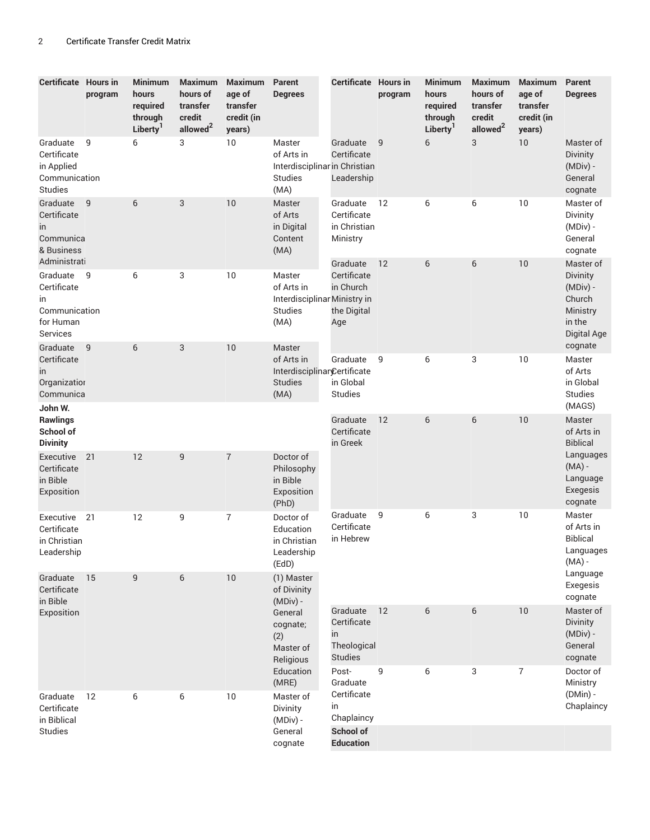| <b>Certificate Hours in</b>                                               | program | <b>Minimum</b><br>hours<br>required<br>through<br>Liberty <sup>1</sup> | <b>Maximum</b><br>hours of<br>transfer<br>credit<br>allowed <sup>2</sup> | <b>Maximum</b><br>age of<br>transfer<br>credit (in<br>years) | Parent<br><b>Degrees</b>                                                        | <b>Certificate Hours in</b>                                    | program | <b>Minimum</b><br>hours<br>required<br>through<br>Liberty <sup>1</sup> | <b>Maximum</b><br>hours of<br>transfer<br>credit<br>allowed <sup>2</sup> | <b>Maximum</b><br>age of<br>transfer<br>credit (in<br>years) | Parent<br><b>Degrees</b>                                                           |
|---------------------------------------------------------------------------|---------|------------------------------------------------------------------------|--------------------------------------------------------------------------|--------------------------------------------------------------|---------------------------------------------------------------------------------|----------------------------------------------------------------|---------|------------------------------------------------------------------------|--------------------------------------------------------------------------|--------------------------------------------------------------|------------------------------------------------------------------------------------|
| Graduate<br>Certificate<br>in Applied<br>Communication<br><b>Studies</b>  | 9       | 6                                                                      | 3                                                                        | 10                                                           | Master<br>of Arts in<br>Interdisciplinar in Christian<br><b>Studies</b><br>(MA) | Graduate<br>Certificate<br>Leadership                          | 9       | 6                                                                      | 3                                                                        | 10                                                           | Master of<br><b>Divinity</b><br>$(MDiv)$ -<br>General<br>cognate                   |
| Graduate<br>Certificate<br>in<br>Communica<br>& Business<br>Administrati  | 9       | 6                                                                      | 3                                                                        | 10                                                           | Master<br>of Arts<br>in Digital<br>Content<br>(MA)                              | Graduate<br>Certificate<br>in Christian<br>Ministry            | 12      | 6                                                                      | 6                                                                        | 10                                                           | Master of<br>Divinity<br>(MDiv) -<br>General<br>cognate                            |
| Graduate 9<br>Certificate<br>in<br>Communication<br>for Human<br>Services |         | 6                                                                      | 3                                                                        | 10                                                           | Master<br>of Arts in<br>Interdisciplinar Ministry in<br><b>Studies</b><br>(MA)  | Graduate<br>Certificate<br>in Church<br>the Digital<br>Age     | 12      | 6                                                                      | 6                                                                        | 10                                                           | Master of<br>Divinity<br>$(MDiv)$ -<br>Church<br>Ministry<br>in the<br>Digital Age |
| Graduate<br>Certificate<br>in<br>Organization<br>Communica<br>John W.     | 9       | 6                                                                      | 3                                                                        | 10                                                           | Master<br>of Arts in<br>Interdisciplinar@ertificate<br><b>Studies</b><br>(MA)   | Graduate<br>in Global<br><b>Studies</b>                        | 9       | 6                                                                      | 3                                                                        | 10                                                           | cognate<br>Master<br>of Arts<br>in Global<br><b>Studies</b><br>(MAGS)              |
| <b>Rawlings</b><br>School of<br><b>Divinity</b>                           |         |                                                                        |                                                                          |                                                              |                                                                                 | Graduate<br>Certificate<br>in Greek                            | 12      | 6                                                                      | 6                                                                        | 10                                                           | Master<br>of Arts in<br><b>Biblical</b>                                            |
| Executive<br>Certificate<br>in Bible<br>Exposition                        | 21      | 12                                                                     | 9                                                                        | $\overline{7}$                                               | Doctor of<br>Philosophy<br>in Bible<br>Exposition<br>(PhD)                      |                                                                |         |                                                                        |                                                                          |                                                              | Languages<br>$(MA)$ -<br>Language<br>Exegesis<br>cognate                           |
| Executive 21<br>Certificate<br>in Christian<br>Leadership                 |         | 12                                                                     | 9                                                                        | $\overline{7}$                                               | Doctor of<br>Education<br>in Christian<br>Leadership<br>(EdD)                   | Graduate<br>Certificate<br>in Hebrew                           | 9       | 6                                                                      | 3                                                                        | 10                                                           | Master<br>of Arts in<br><b>Biblical</b><br>Languages<br>$(MA)$ -<br>Language       |
| Graduate<br>Certificate<br>in Bible                                       | 15      | 9                                                                      | 6                                                                        | 10                                                           | (1) Master<br>of Divinity<br>(MDiv) -                                           |                                                                |         |                                                                        |                                                                          |                                                              | Exegesis<br>cognate                                                                |
| Exposition                                                                |         |                                                                        |                                                                          |                                                              | General<br>cognate;<br>(2)<br>Master of<br>Religious                            | Graduate<br>Certificate<br>in<br>Theological<br><b>Studies</b> | 12      | 6                                                                      | 6                                                                        | 10                                                           | Master of<br><b>Divinity</b><br>(MDiv) -<br>General<br>cognate                     |
| Graduate<br>Certificate<br>in Biblical                                    | 12      | 6                                                                      | 6                                                                        | 10                                                           | Education<br>(MRE)<br>Master of<br>Divinity<br>$(MDiv)$ -                       | Post-<br>Graduate<br>Certificate<br>in<br>Chaplaincy           | 9       | 6                                                                      | 3                                                                        | $\overline{7}$                                               | Doctor of<br>Ministry<br>$(DMin) -$<br>Chaplaincy                                  |
| Studies                                                                   |         |                                                                        |                                                                          |                                                              | General<br>cognate                                                              | School of<br><b>Education</b>                                  |         |                                                                        |                                                                          |                                                              |                                                                                    |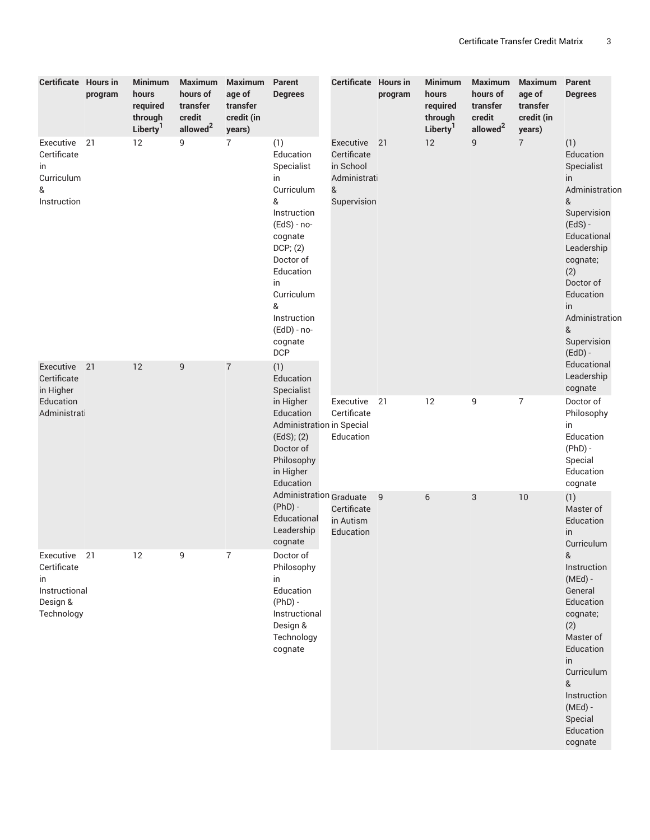| Certificate Hours in                                                         | program | <b>Minimum</b><br>hours<br>required<br>through<br>Liberty <sup>1</sup> | <b>Maximum</b><br>hours of<br>transfer<br>credit<br>allowed <sup>2</sup> | Maximum<br>age of<br>transfer<br>credit (in<br>years) | Parent<br><b>Degrees</b>                                                                                                                                                                                                 | Certificate Hours in                                                      | program | <b>Minimum</b><br>hours<br>required<br>through<br>Liberty <sup>1</sup> | <b>Maximum</b><br>hours of<br>transfer<br>credit<br>allowed <sup>2</sup> | <b>Maximum</b><br>age of<br>transfer<br>credit (in<br>years) | Parent<br><b>Degrees</b>                                                                                                                                                                                                    |
|------------------------------------------------------------------------------|---------|------------------------------------------------------------------------|--------------------------------------------------------------------------|-------------------------------------------------------|--------------------------------------------------------------------------------------------------------------------------------------------------------------------------------------------------------------------------|---------------------------------------------------------------------------|---------|------------------------------------------------------------------------|--------------------------------------------------------------------------|--------------------------------------------------------------|-----------------------------------------------------------------------------------------------------------------------------------------------------------------------------------------------------------------------------|
| Executive 21<br>Certificate<br>in<br>Curriculum<br>&<br>Instruction          |         | 12                                                                     | 9                                                                        | $\overline{7}$                                        | (1)<br>Education<br>Specialist<br>in<br>Curriculum<br>&<br>Instruction<br>$(EdS) - no-$<br>cognate<br>DCP; (2)<br>Doctor of<br>Education<br>in<br>Curriculum<br>&<br>Instruction<br>(EdD) - no-<br>cognate<br><b>DCP</b> | Executive<br>Certificate<br>in School<br>Administrati<br>&<br>Supervision | 21      | 12                                                                     | 9                                                                        | $\overline{7}$                                               | (1)<br>Education<br>Specialist<br>in.<br>Administration<br>&<br>Supervision<br>$(EdS) -$<br>Educational<br>Leadership<br>cognate;<br>(2)<br>Doctor of<br>Education<br>in<br>Administration<br>&<br>Supervision<br>$(EdD)$ - |
| Executive 21<br>Certificate<br>in Higher<br>Education<br>Administrati        |         | 12                                                                     | 9                                                                        | $\boldsymbol{7}$                                      | (1)<br>Education<br>Specialist<br>in Higher<br>Education<br>Administration in Special<br>(EdS); (2)<br>Doctor of<br>Philosophy<br>in Higher<br>Education                                                                 | Executive 21<br>Certificate<br>Education                                  |         | 12                                                                     | 9                                                                        | $\overline{7}$                                               | Educational<br>Leadership<br>cognate<br>Doctor of<br>Philosophy<br>in<br>Education<br>$(PhD) -$<br>Special<br>Education<br>cognate                                                                                          |
|                                                                              |         |                                                                        |                                                                          |                                                       | <b>Administration Graduate</b><br>$(PhD) -$<br>Educational<br>Leadership<br>cognate                                                                                                                                      | Certificate<br>in Autism<br>Education                                     | -9<br>6 |                                                                        | 3                                                                        | 10                                                           | (1)<br>Master of<br>Education<br>in<br>Curriculum                                                                                                                                                                           |
| Executive 21<br>Certificate<br>in<br>Instructional<br>Design &<br>Technology |         | 12                                                                     | 9                                                                        | 7                                                     | Doctor of<br>Philosophy<br>in<br>Education<br>$(PhD) -$<br>Instructional<br>Design &<br>Technology<br>cognate                                                                                                            |                                                                           |         |                                                                        |                                                                          |                                                              | &<br>Instruction<br>$(MEd)$ -<br>General<br>Education<br>cognate;<br>(2)<br>Master of<br>Education<br>in<br>Curriculum<br>&<br>Instruction<br>(MEd) -<br>Special<br>Education<br>cognate                                    |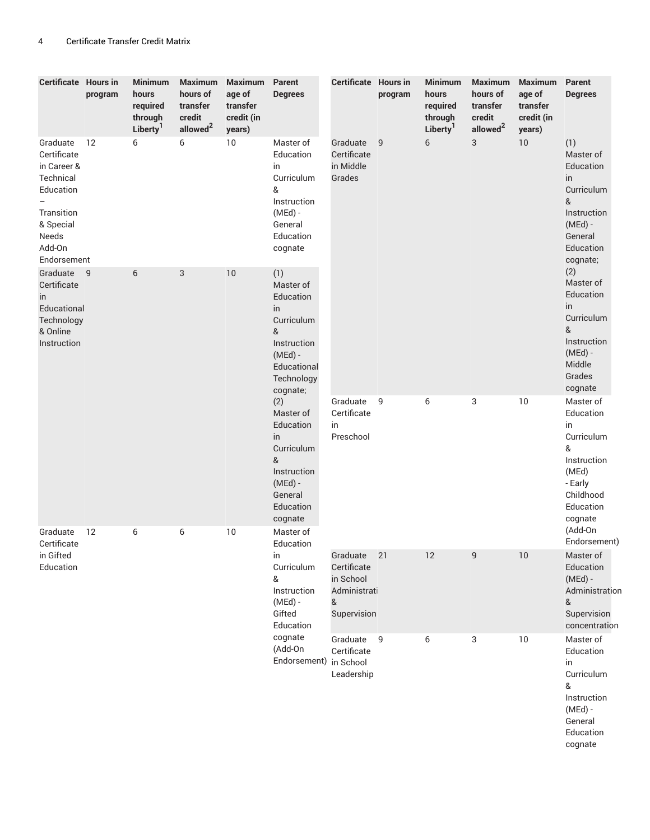| <b>Certificate Hours in</b>                                                                                                   | program | <b>Minimum</b><br>hours<br>required<br>through<br>Liberty <sup>1</sup> | <b>Maximum</b><br>hours of<br>transfer<br>credit<br>allowed <sup>2</sup> | <b>Maximum</b><br>age of<br>transfer<br>credit (in<br>years) | Parent<br><b>Degrees</b>                                                                                                    | <b>Certificate Hours in</b>                                              | program        | <b>Minimum</b><br>hours<br>required<br>through<br>Liberty <sup>1</sup> | <b>Maximum</b><br>hours of<br>transfer<br>credit<br>allowed <sup>2</sup> | <b>Maximum</b><br>age of<br>transfer<br>credit (in<br>years) | Parent<br><b>Degrees</b>                                                                                                |
|-------------------------------------------------------------------------------------------------------------------------------|---------|------------------------------------------------------------------------|--------------------------------------------------------------------------|--------------------------------------------------------------|-----------------------------------------------------------------------------------------------------------------------------|--------------------------------------------------------------------------|----------------|------------------------------------------------------------------------|--------------------------------------------------------------------------|--------------------------------------------------------------|-------------------------------------------------------------------------------------------------------------------------|
| Graduate<br>Certificate<br>in Career &<br>Technical<br>Education<br>Transition<br>& Special<br>Needs<br>Add-On<br>Endorsement | 12      | 6                                                                      | 6                                                                        | 10                                                           | Master of<br>Education<br>in<br>Curriculum<br>&<br>Instruction<br>$(MEd)$ -<br>General<br>Education<br>cognate              | Graduate<br>Certificate<br>in Middle<br>Grades                           | $\overline{9}$ | 6                                                                      | 3                                                                        | 10                                                           | (1)<br>Master of<br>Education<br>in<br>Curriculum<br>&<br>Instruction<br>$(MEd)$ -<br>General<br>Education<br>cognate;  |
| Graduate<br>Certificate<br>in<br>Educational<br>Technology<br>& Online<br>Instruction                                         | 9       | 6                                                                      | 3                                                                        | 10                                                           | (1)<br>Master of<br>Education<br>in<br>Curriculum<br>&<br>Instruction<br>$(MEd)$ -<br>Educational<br>Technology<br>cognate; |                                                                          |                |                                                                        |                                                                          |                                                              | (2)<br>Master of<br>Education<br>in<br>Curriculum<br>&<br>Instruction<br>$(MEd)$ -<br>Middle<br>Grades<br>cognate       |
|                                                                                                                               |         |                                                                        |                                                                          |                                                              | (2)<br>Master of<br>Education<br>in<br>Curriculum<br>&<br>Instruction<br>$(MEd)$ -<br>General<br>Education<br>cognate       | Graduate<br>Certificate<br>in<br>Preschool                               | - 9            | 6                                                                      | 3                                                                        | 10                                                           | Master of<br>Education<br>in<br>Curriculum<br>&<br>Instruction<br>(MEd)<br>- Early<br>Childhood<br>Education<br>cognate |
| Graduate<br>Certificate<br>in Gifted<br>Education                                                                             | 12      | 6                                                                      | 6                                                                        | 10                                                           | Master of<br>Education<br>in<br>Curriculum<br>&<br>Instruction<br>$(MEd)$ -<br>Gifted<br>Education                          | Graduate<br>Certificate<br>in School<br>Administrati<br>&<br>Supervision | 21             | 12                                                                     | $\mathsf g$                                                              | $10\,$                                                       | (Add-On<br>Endorsement)<br>Master of<br>Education<br>$(MEd)$ -<br>Administration<br>&<br>Supervision<br>concentration   |
|                                                                                                                               |         |                                                                        |                                                                          |                                                              | cognate<br>(Add-On<br>Endorsement)                                                                                          | Graduate<br>Certificate<br>in School<br>Leadership                       | $\overline{9}$ | 6                                                                      | 3                                                                        | 10                                                           | Master of<br>Education<br>in<br>Curriculum<br>&<br>Instruction<br>$(MEd)$ -<br>General<br>Education<br>cognate          |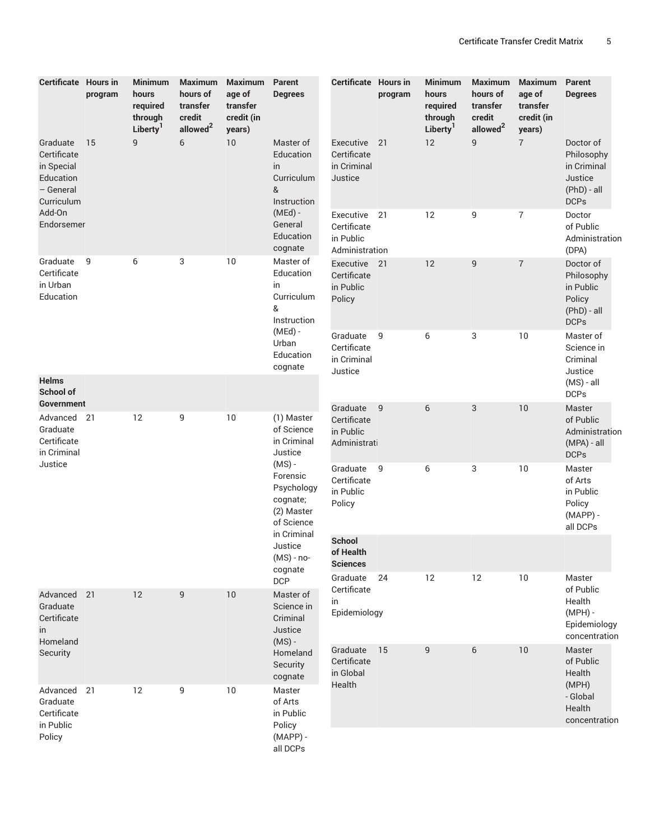| <b>Certificate Hours in</b>                                                   | program | <b>Minimum</b><br>hours<br>required<br>through<br>Liberty <sup>1</sup> | <b>Maximum</b><br>hours of<br>transfer<br>credit<br>allowed <sup>2</sup> | <b>Maximum</b><br>age of<br>transfer<br>credit (in<br>years) | Parent<br><b>Degrees</b>                                                                                                                        | Certificate Hours in                                    | program | <b>Minimum</b><br>hours<br>required<br>through<br>Liberty <sup>1</sup> | <b>Maximum</b><br>hours of<br>transfer<br>credit<br>allowed <sup>2</sup> | <b>Maximum</b><br>age of<br>transfer<br>credit (in<br>years) | Parent<br><b>Degrees</b>                                                        |
|-------------------------------------------------------------------------------|---------|------------------------------------------------------------------------|--------------------------------------------------------------------------|--------------------------------------------------------------|-------------------------------------------------------------------------------------------------------------------------------------------------|---------------------------------------------------------|---------|------------------------------------------------------------------------|--------------------------------------------------------------------------|--------------------------------------------------------------|---------------------------------------------------------------------------------|
| Graduate<br>Certificate<br>in Special<br>Education<br>- General<br>Curriculum | 15      | $\overline{9}$                                                         | 6                                                                        | 10                                                           | Master of<br>Education<br>in<br>Curriculum<br>&<br>Instruction                                                                                  | Executive<br>Certificate<br>in Criminal<br>Justice      | 21      | 12                                                                     | 9                                                                        | $\overline{7}$                                               | Doctor of<br>Philosophy<br>in Criminal<br>Justice<br>(PhD) - all<br><b>DCPs</b> |
| Add-On<br>Endorsemer                                                          |         |                                                                        |                                                                          |                                                              | $(MEd)$ -<br>General<br>Education<br>cognate                                                                                                    | Executive<br>Certificate<br>in Public<br>Administration | 21      | 12                                                                     | 9                                                                        | 7                                                            | Doctor<br>of Public<br>Administration<br>(DPA)                                  |
| Graduate<br>Certificate<br>in Urban<br>Education                              | 9       | 6                                                                      | 3                                                                        | 10                                                           | Master of<br>Education<br>in<br>Curriculum<br>&<br>Instruction                                                                                  | Executive<br>Certificate<br>in Public<br>Policy         | 21      | 12                                                                     | 9                                                                        | $\overline{7}$                                               | Doctor of<br>Philosophy<br>in Public<br>Policy<br>(PhD) - all<br><b>DCPs</b>    |
|                                                                               |         |                                                                        |                                                                          |                                                              | $(MEd)$ -<br>Urban<br>Education<br>cognate                                                                                                      | Graduate<br>Certificate<br>in Criminal<br>Justice       | 9       | 6                                                                      | 3                                                                        | 10                                                           | Master of<br>Science in<br>Criminal<br>Justice                                  |
| <b>Helms</b><br>School of<br>Government                                       |         |                                                                        |                                                                          |                                                              |                                                                                                                                                 |                                                         |         |                                                                        |                                                                          |                                                              | $(MS) - all$<br><b>DCPs</b>                                                     |
| Advanced 21<br>Graduate<br>Certificate<br>in Criminal<br>Justice              |         | 12                                                                     | 9                                                                        | 10                                                           | (1) Master<br>of Science<br>in Criminal<br>Justice<br>$(MS)$ -<br>Forensic<br>Psychology<br>cognate;<br>(2) Master<br>of Science<br>in Criminal | Graduate<br>Certificate<br>in Public<br>Administrati    | 9       | 6                                                                      | 3                                                                        | 10                                                           | Master<br>of Public<br>Administration<br>(MPA) - all<br><b>DCPs</b>             |
|                                                                               |         |                                                                        |                                                                          |                                                              |                                                                                                                                                 | Graduate<br>Certificate<br>in Public<br>Policy          | 9       | 6                                                                      | 3                                                                        | 10                                                           | Master<br>of Arts<br>in Public<br>Policy<br>$(MAPP) -$<br>all DCPs              |
|                                                                               |         |                                                                        |                                                                          |                                                              | Justice<br>(MS) - no-<br>cognate                                                                                                                | School<br>of Health<br><b>Sciences</b>                  |         |                                                                        |                                                                          |                                                              |                                                                                 |
| Advanced 21<br>Graduate<br>Certificate<br>in                                  |         | 12                                                                     | 9                                                                        | 10                                                           | <b>DCP</b><br>Master of<br>Science in<br>Criminal<br>Justice                                                                                    | Graduate<br>Certificate<br>in<br>Epidemiology           | 24      | 12                                                                     | 12                                                                       | 10                                                           | Master<br>of Public<br>Health<br>$(MPH)$ -<br>Epidemiology<br>concentration     |
| Homeland<br>Security                                                          |         |                                                                        |                                                                          |                                                              | $(MS)$ -<br>Homeland<br>Security<br>cognate                                                                                                     | Graduate<br>Certificate<br>in Global                    | 15      | 9                                                                      | 6                                                                        | 10                                                           | Master<br>of Public<br>Health                                                   |
| Advanced 21<br>Graduate<br>Certificate<br>in Public                           |         | 12                                                                     | 9                                                                        | 10                                                           | Master<br>of Arts<br>in Public<br>Policy                                                                                                        | Health                                                  |         |                                                                        |                                                                          |                                                              | (MPH)<br>- Global<br>Health<br>concentration                                    |
| Policy                                                                        |         |                                                                        |                                                                          |                                                              | $(MAPP) -$<br>all DCPs                                                                                                                          |                                                         |         |                                                                        |                                                                          |                                                              |                                                                                 |